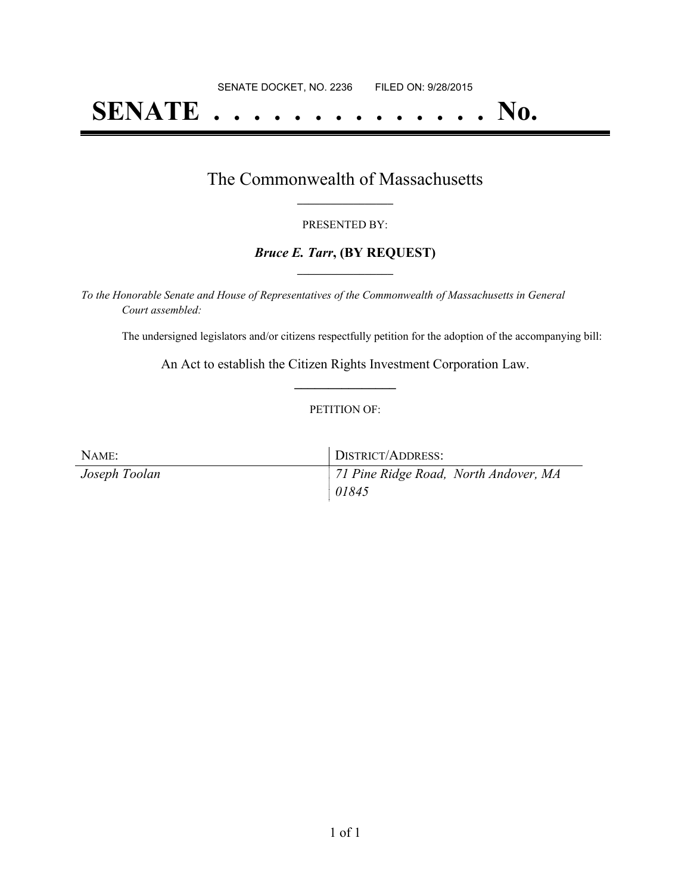# **SENATE . . . . . . . . . . . . . . No.**

### The Commonwealth of Massachusetts **\_\_\_\_\_\_\_\_\_\_\_\_\_\_\_\_\_**

#### PRESENTED BY:

#### *Bruce E. Tarr***, (BY REQUEST) \_\_\_\_\_\_\_\_\_\_\_\_\_\_\_\_\_**

*To the Honorable Senate and House of Representatives of the Commonwealth of Massachusetts in General Court assembled:*

The undersigned legislators and/or citizens respectfully petition for the adoption of the accompanying bill:

An Act to establish the Citizen Rights Investment Corporation Law. **\_\_\_\_\_\_\_\_\_\_\_\_\_\_\_**

#### PETITION OF:

| NAME:         | DISTRICT/ADDRESS:                     |
|---------------|---------------------------------------|
| Joseph Toolan | 71 Pine Ridge Road, North Andover, MA |
|               | 01845                                 |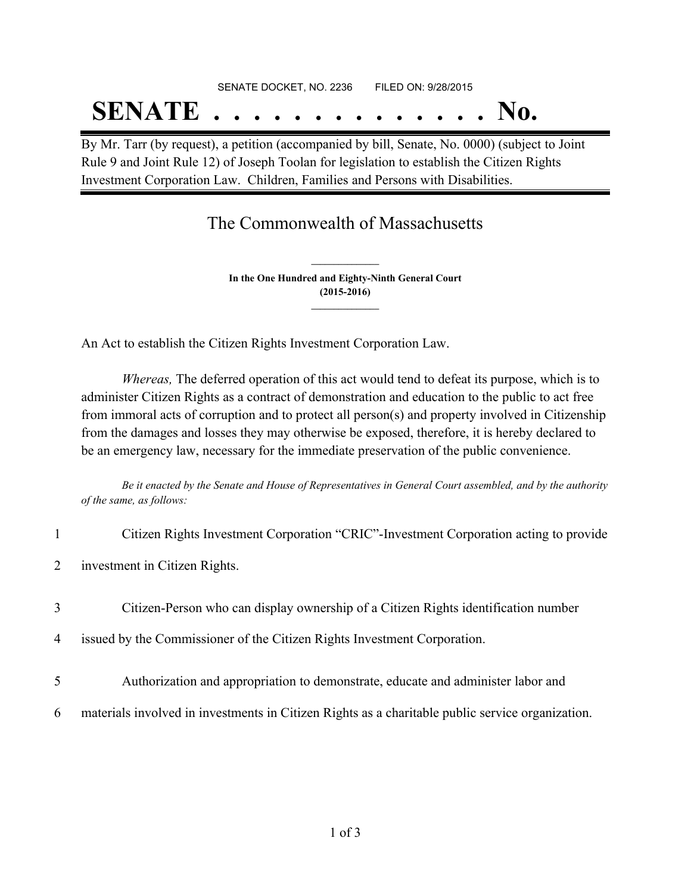# SENATE DOCKET, NO. 2236 FILED ON: 9/28/2015 **SENATE . . . . . . . . . . . . . . No.**

By Mr. Tarr (by request), a petition (accompanied by bill, Senate, No. 0000) (subject to Joint Rule 9 and Joint Rule 12) of Joseph Toolan for legislation to establish the Citizen Rights Investment Corporation Law. Children, Families and Persons with Disabilities.

## The Commonwealth of Massachusetts

**In the One Hundred and Eighty-Ninth General Court (2015-2016) \_\_\_\_\_\_\_\_\_\_\_\_\_\_\_**

**\_\_\_\_\_\_\_\_\_\_\_\_\_\_\_**

An Act to establish the Citizen Rights Investment Corporation Law.

*Whereas,* The deferred operation of this act would tend to defeat its purpose, which is to administer Citizen Rights as a contract of demonstration and education to the public to act free from immoral acts of corruption and to protect all person(s) and property involved in Citizenship from the damages and losses they may otherwise be exposed, therefore, it is hereby declared to be an emergency law, necessary for the immediate preservation of the public convenience.

Be it enacted by the Senate and House of Representatives in General Court assembled, and by the authority *of the same, as follows:*

| 1              | Citizen Rights Investment Corporation "CRIC"-Investment Corporation acting to provide            |
|----------------|--------------------------------------------------------------------------------------------------|
| $\overline{2}$ | investment in Citizen Rights.                                                                    |
| 3              | Citizen-Person who can display ownership of a Citizen Rights identification number               |
| $\overline{4}$ | issued by the Commissioner of the Citizen Rights Investment Corporation.                         |
| 5              | Authorization and appropriation to demonstrate, educate and administer labor and                 |
| 6              | materials involved in investments in Citizen Rights as a charitable public service organization. |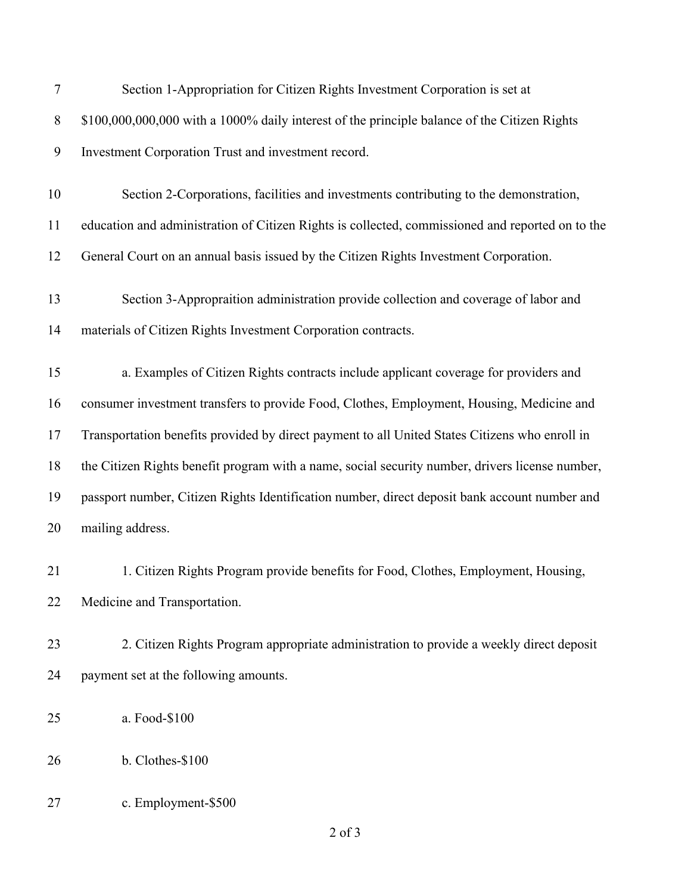| 7     | Section 1-Appropriation for Citizen Rights Investment Corporation is set at                      |
|-------|--------------------------------------------------------------------------------------------------|
| $8\,$ | \$100,000,000,000 with a 1000% daily interest of the principle balance of the Citizen Rights     |
| 9     | Investment Corporation Trust and investment record.                                              |
| 10    | Section 2-Corporations, facilities and investments contributing to the demonstration,            |
| 11    | education and administration of Citizen Rights is collected, commissioned and reported on to the |
| 12    | General Court on an annual basis issued by the Citizen Rights Investment Corporation.            |
| 13    | Section 3-Appropraition administration provide collection and coverage of labor and              |
| 14    | materials of Citizen Rights Investment Corporation contracts.                                    |
| 15    | a. Examples of Citizen Rights contracts include applicant coverage for providers and             |
| 16    | consumer investment transfers to provide Food, Clothes, Employment, Housing, Medicine and        |
| 17    | Transportation benefits provided by direct payment to all United States Citizens who enroll in   |
| 18    | the Citizen Rights benefit program with a name, social security number, drivers license number,  |
| 19    | passport number, Citizen Rights Identification number, direct deposit bank account number and    |
| 20    | mailing address.                                                                                 |
| 21    | 1. Citizen Rights Program provide benefits for Food, Clothes, Employment, Housing,               |
| 22    | Medicine and Transportation.                                                                     |
| 23    | 2. Citizen Rights Program appropriate administration to provide a weekly direct deposit          |
| 24    | payment set at the following amounts.                                                            |
| 25    | a. Food-\$100                                                                                    |
| 26    | b. Clothes-\$100                                                                                 |
| 27    | c. Employment-\$500                                                                              |
|       | $2$ of $3$                                                                                       |